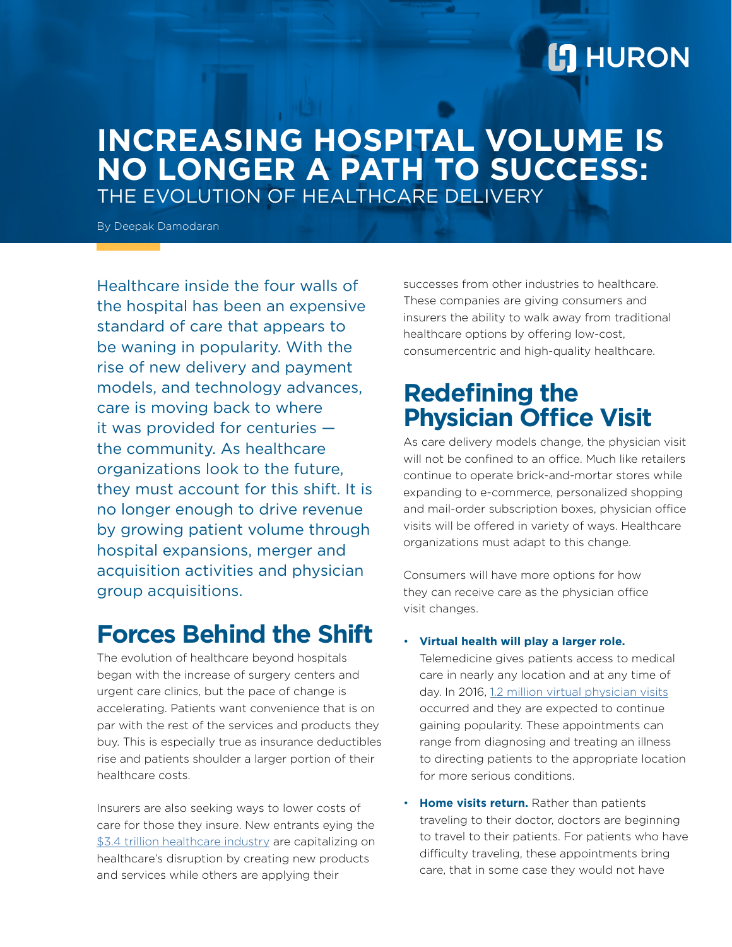# **L'I** HURON

## **INCREASING HOSPITAL VOLUME IS NO LONGER A PATH TO SUCCESS:** THE EVOLUTION OF HEALTHCARE DELIVERY

By Deepak Damodaran

Healthcare inside the four walls of the hospital has been an expensive standard of care that appears to be waning in popularity. With the rise of new delivery and payment models, and technology advances, care is moving back to where it was provided for centuries the community. As healthcare organizations look to the future, they must account for this shift. It is no longer enough to drive revenue by growing patient volume through hospital expansions, merger and acquisition activities and physician group acquisitions.

# **Forces Behind the Shift**

The evolution of healthcare beyond hospitals began with the increase of surgery centers and urgent care clinics, but the pace of change is accelerating. Patients want convenience that is on par with the rest of the services and products they buy. This is especially true as insurance deductibles rise and patients shoulder a larger portion of their healthcare costs.

Insurers are also seeking ways to lower costs of care for those they insure. New entrants eying the [\\$3.4 trillion healthcare industry](https://www.advisory.com/daily-briefing/2017/02/16/spending-growth) are capitalizing on healthcare's disruption by creating new products and services while others are applying their

successes from other industries to healthcare. These companies are giving consumers and insurers the ability to walk away from traditional healthcare options by offering low-cost, consumercentric and high-quality healthcare.

# **Redefining the Physician Office Visit**

As care delivery models change, the physician visit will not be confined to an office. Much like retailers continue to operate brick-and-mortar stores while expanding to e-commerce, personalized shopping and mail-order subscription boxes, physician office visits will be offered in variety of ways. Healthcare organizations must adapt to this change.

Consumers will have more options for how they can receive care as the physician office visit changes.

• **Virtual health will play a larger role.** 

Telemedicine gives patients access to medical care in nearly any location and at any time of day. In 2016, [1.2 million virtual physician visits](https://www.wsj.com/articles/how-telemedicine-is-transforming-health-care-1466993402) occurred and they are expected to continue gaining popularity. These appointments can range from diagnosing and treating an illness to directing patients to the appropriate location for more serious conditions.

• **Home visits return.** Rather than patients traveling to their doctor, doctors are beginning to travel to their patients. For patients who have difficulty traveling, these appointments bring care, that in some case they would not have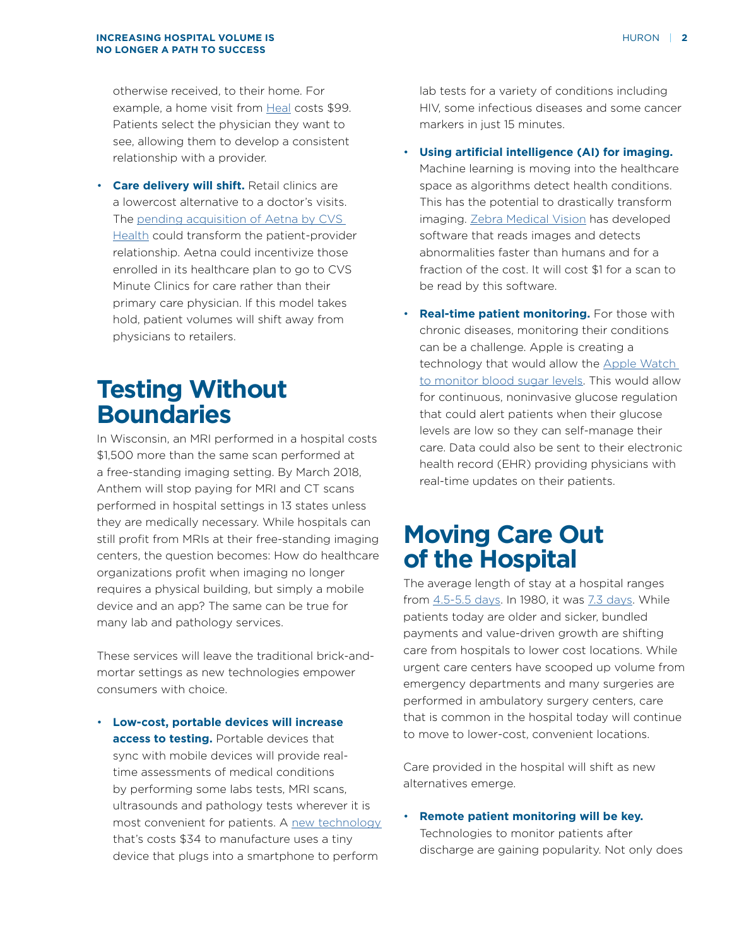otherwise received, to their home. For example, a home visit from [Heal](https://heal.com/) costs \$99. Patients select the physician they want to see, allowing them to develop a consistent relationship with a provider.

• **Care delivery will shift.** Retail clinics are a lowercost alternative to a doctor's visits. The [pending acquisition of Aetna by CVS](https://www.cnbc.com/2017/11/30/cvs-nears-deal-to-buy-aetna-for-around-66-billion-report.html)  [Health](https://www.cnbc.com/2017/11/30/cvs-nears-deal-to-buy-aetna-for-around-66-billion-report.html) could transform the patient-provider relationship. Aetna could incentivize those enrolled in its healthcare plan to go to CVS Minute Clinics for care rather than their primary care physician. If this model takes hold, patient volumes will shift away from physicians to retailers.

# **Testing Without Boundaries**

In Wisconsin, an MRI performed in a hospital costs \$1,500 more than the same scan performed at a free-standing imaging setting. By March 2018, Anthem will stop paying for MRI and CT scans performed in hospital settings in 13 states unless they are medically necessary. While hospitals can still profit from MRIs at their free-standing imaging centers, the question becomes: How do healthcare organizations profit when imaging no longer requires a physical building, but simply a mobile device and an app? The same can be true for many lab and pathology services.

These services will leave the traditional brick-andmortar settings as new technologies empower consumers with choice.

• **Low-cost, portable devices will increase access to testing.** Portable devices that sync with mobile devices will provide realtime assessments of medical conditions by performing some labs tests, MRI scans, ultrasounds and pathology tests wherever it is most convenient for patients. A [new technology](https://www.smithsonianmag.com/innovation/34-smartphone-assisted-device-could-revolutionize-disease-testing-180954280/)  that's costs \$34 to manufacture uses a tiny device that plugs into a smartphone to perform

lab tests for a variety of conditions including HIV, some infectious diseases and some cancer markers in just 15 minutes.

• **Using artificial intelligence (AI) for imaging.** Machine learning is moving into the healthcare space as algorithms detect health conditions. This has the potential to drastically transform imaging. [Zebra Medical Vision](http://www.popewoodhead.com/) has developed software that reads images and detects abnormalities faster than humans and for a fraction of the cost. It will cost \$1 for a scan to be read by this software.

• **Real-time patient monitoring.** For those with chronic diseases, monitoring their conditions can be a challenge. Apple is creating a technology that would allow the [Apple Watch](https://www.cnbc.com/2017/04/12/apple-working-on-glucose-sensors-diabetes-treatment.html)  [to monitor blood sugar levels.](https://www.cnbc.com/2017/04/12/apple-working-on-glucose-sensors-diabetes-treatment.html) This would allow for continuous, noninvasive glucose regulation that could alert patients when their glucose levels are low so they can self-manage their care. Data could also be sent to their electronic health record (EHR) providing physicians with real-time updates on their patients.

## **Moving Care Out of the Hospital**

The average length of stay at a hospital ranges from [4.5-5.5 days.](https://www.beckershospitalreview.com/lists/230-hospital-benchmarks-2017.html) In 1980, it was [7.3 days](https://www.nytimes.com/2016/01/05/upshot/the-hidden-financial-incentives-behind-your-shorter-hospital-stay.html). While patients today are older and sicker, bundled payments and value-driven growth are shifting care from hospitals to lower cost locations. While urgent care centers have scooped up volume from emergency departments and many surgeries are performed in ambulatory surgery centers, care that is common in the hospital today will continue to move to lower-cost, convenient locations.

Care provided in the hospital will shift as new alternatives emerge.

• **Remote patient monitoring will be key.** Technologies to monitor patients after discharge are gaining popularity. Not only does